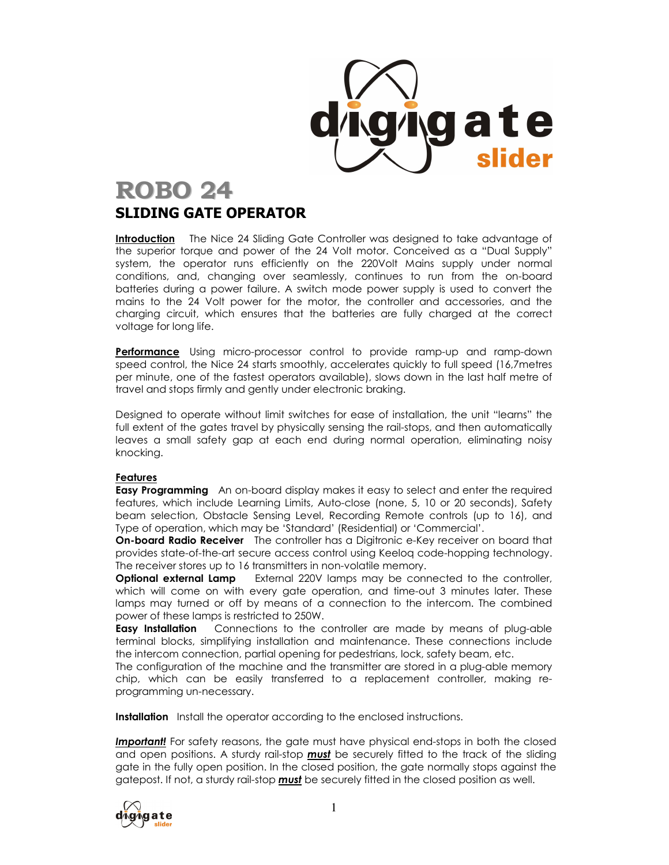

# ROBO 24

# SLIDING GATE OPERATOR

**Introduction** The Nice 24 Sliding Gate Controller was designed to take advantage of the superior torque and power of the 24 Volt motor. Conceived as a "Dual Supply" system, the operator runs efficiently on the 220Volt Mains supply under normal conditions, and, changing over seamlessly, continues to run from the on-board batteries during a power failure. A switch mode power supply is used to convert the mains to the 24 Volt power for the motor, the controller and accessories, and the charging circuit, which ensures that the batteries are fully charged at the correct voltage for long life.

Performance Using micro-processor control to provide ramp-up and ramp-down speed control, the Nice 24 starts smoothly, accelerates quickly to full speed (16,7metres per minute, one of the fastest operators available), slows down in the last half metre of travel and stops firmly and gently under electronic braking.

Designed to operate without limit switches for ease of installation, the unit "learns" the full extent of the gates travel by physically sensing the rail-stops, and then automatically leaves a small safety gap at each end during normal operation, eliminating noisy knocking.

# Features

**Easy Programming** An on-board display makes it easy to select and enter the required features, which include Learning Limits, Auto-close (none, 5, 10 or 20 seconds), Safety beam selection, Obstacle Sensing Level, Recording Remote controls (up to 16), and Type of operation, which may be 'Standard' (Residential) or 'Commercial'.

On-board Radio Receiver The controller has a Digitronic e-Key receiver on board that provides state-of-the-art secure access control using Keeloq code-hopping technology. The receiver stores up to 16 transmitters in non-volatile memory.

**Optional external Lamp** External 220V lamps may be connected to the controller, which will come on with every gate operation, and time-out 3 minutes later. These lamps may turned or off by means of a connection to the intercom. The combined power of these lamps is restricted to 250W.

**Easy Installation** Connections to the controller are made by means of plug-able terminal blocks, simplifying installation and maintenance. These connections include the intercom connection, partial opening for pedestrians, lock, safety beam, etc.

The configuration of the machine and the transmitter are stored in a plug-able memory chip, which can be easily transferred to a replacement controller, making reprogramming un-necessary.

**Installation** Install the operator according to the enclosed instructions.

**Important!** For safety reasons, the gate must have physical end-stops in both the closed and open positions. A sturdy rail-stop **must** be securely fitted to the track of the sliding gate in the fully open position. In the closed position, the gate normally stops against the gatepost. If not, a sturdy rail-stop **must** be securely fitted in the closed position as well.

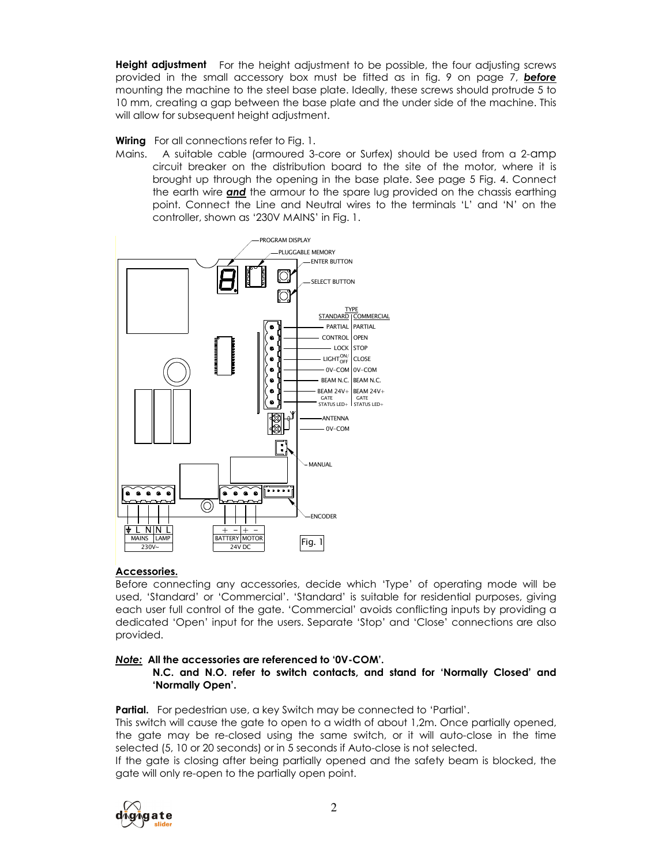**Height adjustment** For the height adjustment to be possible, the four adjusting screws provided in the small accessory box must be fitted as in fig. 9 on page 7, **before** mounting the machine to the steel base plate. Ideally, these screws should protrude 5 to 10 mm, creating a gap between the base plate and the under side of the machine. This will allow for subsequent height adjustment.

**Wiring** For all connections refer to Fig. 1.

Mains. A suitable cable (armoured 3-core or Surfex) should be used from a 2-amp circuit breaker on the distribution board to the site of the motor, where it is brought up through the opening in the base plate. See page 5 Fig. 4. Connect the earth wire and the armour to the spare lug provided on the chassis earthing point. Connect the Line and Neutral wires to the terminals 'L' and 'N' on the controller, shown as '230V MAINS' in Fig. 1.



# Accessories.

Before connecting any accessories, decide which 'Type' of operating mode will be used, 'Standard' or 'Commercial'. 'Standard' is suitable for residential purposes, giving each user full control of the gate. 'Commercial' avoids conflicting inputs by providing a dedicated 'Open' input for the users. Separate 'Stop' and 'Close' connections are also provided.

# Note: All the accessories are referenced to '0V-COM'.

N.C. and N.O. refer to switch contacts, and stand for 'Normally Closed' and 'Normally Open'.

Partial. For pedestrian use, a key Switch may be connected to 'Partial'.

This switch will cause the gate to open to a width of about 1,2m. Once partially opened, the gate may be re-closed using the same switch, or it will auto-close in the time selected (5, 10 or 20 seconds) or in 5 seconds if Auto-close is not selected.

If the gate is closing after being partially opened and the safety beam is blocked, the gate will only re-open to the partially open point.

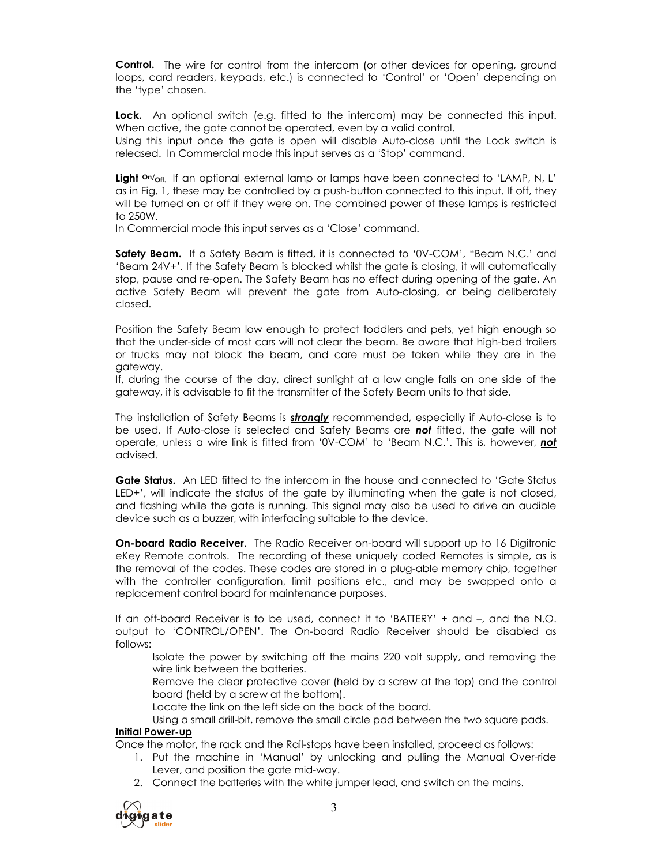**Control.** The wire for control from the intercom (or other devices for opening, ground loops, card readers, keypads, etc.) is connected to 'Control' or 'Open' depending on the 'type' chosen.

Lock. An optional switch (e.g. fitted to the intercom) may be connected this input. When active, the gate cannot be operated, even by a valid control.

Using this input once the gate is open will disable Auto-close until the Lock switch is released. In Commercial mode this input serves as a 'Stop' command.

Light <sup>on</sup>/<sub>Off.</sub> If an optional external lamp or lamps have been connected to 'LAMP, N, L' as in Fig. 1, these may be controlled by a push-button connected to this input. If off, they will be turned on or off if they were on. The combined power of these lamps is restricted to 250W.

In Commercial mode this input serves as a 'Close' command.

Safety Beam. If a Safety Beam is fitted, it is connected to '0V-COM', "Beam N.C.' and 'Beam 24V+'. If the Safety Beam is blocked whilst the gate is closing, it will automatically stop, pause and re-open. The Safety Beam has no effect during opening of the gate. An active Safety Beam will prevent the gate from Auto-closing, or being deliberately closed.

Position the Safety Beam low enough to protect toddlers and pets, yet high enough so that the under-side of most cars will not clear the beam. Be aware that high-bed trailers or trucks may not block the beam, and care must be taken while they are in the gateway.

If, during the course of the day, direct sunlight at a low angle falls on one side of the gateway, it is advisable to fit the transmitter of the Safety Beam units to that side.

The installation of Safety Beams is **strongly** recommended, especially if Auto-close is to be used. If Auto-close is selected and Safety Beams are **not** fitted, the gate will not operate, unless a wire link is fitted from '0V-COM' to 'Beam N.C.'. This is, however, not advised.

Gate Status. An LED fitted to the intercom in the house and connected to 'Gate Status LED+', will indicate the status of the gate by illuminating when the gate is not closed, and flashing while the gate is running. This signal may also be used to drive an audible device such as a buzzer, with interfacing suitable to the device.

On-board Radio Receiver. The Radio Receiver on-board will support up to 16 Digitronic eKey Remote controls. The recording of these uniquely coded Remotes is simple, as is the removal of the codes. These codes are stored in a plug-able memory chip, together with the controller configuration, limit positions etc., and may be swapped onto a replacement control board for maintenance purposes.

If an off-board Receiver is to be used, connect it to 'BATTERY' + and –, and the N.O. output to 'CONTROL/OPEN'. The On-board Radio Receiver should be disabled as follows:

Isolate the power by switching off the mains 220 volt supply, and removing the wire link between the batteries.

Remove the clear protective cover (held by a screw at the top) and the control board (held by a screw at the bottom).

Locate the link on the left side on the back of the board.

Using a small drill-bit, remove the small circle pad between the two square pads.

# Initial Power-up

Once the motor, the rack and the Rail-stops have been installed, proceed as follows:

- 1. Put the machine in 'Manual' by unlocking and pulling the Manual Over-ride Lever, and position the gate mid-way.
- 2. Connect the batteries with the white jumper lead, and switch on the mains.

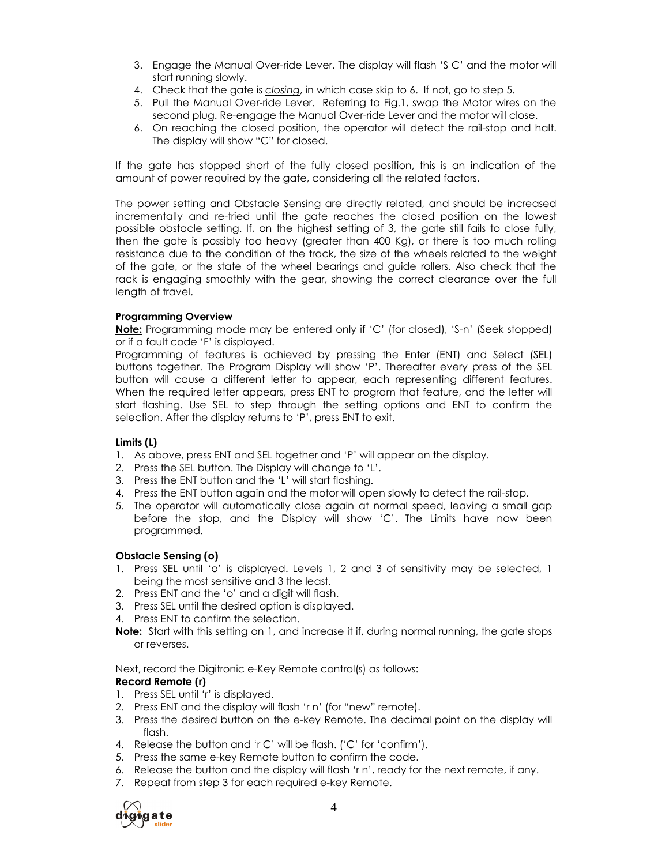- 3. Engage the Manual Over-ride Lever. The display will flash 'S C' and the motor will start running slowly.
- 4. Check that the gate is closing, in which case skip to 6. If not, go to step 5.
- 5. Pull the Manual Over-ride Lever. Referring to Fig.1, swap the Motor wires on the second plug. Re-engage the Manual Over-ride Lever and the motor will close.
- 6. On reaching the closed position, the operator will detect the rail-stop and halt. The display will show "C" for closed.

If the gate has stopped short of the fully closed position, this is an indication of the amount of power required by the gate, considering all the related factors.

The power setting and Obstacle Sensing are directly related, and should be increased incrementally and re-tried until the gate reaches the closed position on the lowest possible obstacle setting. If, on the highest setting of 3, the gate still fails to close fully, then the gate is possibly too heavy (greater than 400 Kg), or there is too much rolling resistance due to the condition of the track, the size of the wheels related to the weight of the gate, or the state of the wheel bearings and guide rollers. Also check that the rack is engaging smoothly with the gear, showing the correct clearance over the full length of travel.

# Programming Overview

Note: Programming mode may be entered only if 'C' (for closed), 'S-n' (Seek stopped) or if a fault code 'F' is displayed.

Programming of features is achieved by pressing the Enter (ENT) and Select (SEL) buttons together. The Program Display will show 'P'. Thereafter every press of the SEL button will cause a different letter to appear, each representing different features. When the required letter appears, press ENT to program that feature, and the letter will start flashing. Use SEL to step through the setting options and ENT to confirm the selection. After the display returns to 'P', press ENT to exit.

# Limits (L)

- 1. As above, press ENT and SEL together and 'P' will appear on the display.
- 2. Press the SEL button. The Display will change to 'L'.
- 3. Press the ENT button and the 'L' will start flashing.
- 4. Press the ENT button again and the motor will open slowly to detect the rail-stop.
- 5. The operator will automatically close again at normal speed, leaving a small gap before the stop, and the Display will show 'C'. The Limits have now been programmed.

# Obstacle Sensing (o)

- 1. Press SEL until 'o' is displayed. Levels 1, 2 and 3 of sensitivity may be selected, 1 being the most sensitive and 3 the least.
- 2. Press ENT and the 'o' and a digit will flash.
- 3. Press SEL until the desired option is displayed.
- 4. Press ENT to confirm the selection.
- Note: Start with this setting on 1, and increase it if, during normal running, the gate stops or reverses.

Next, record the Digitronic e-Key Remote control(s) as follows:

# Record Remote (r)

- 1. Press SEL until 'r' is displayed.
- 2. Press ENT and the display will flash 'r n' (for "new" remote).
- 3. Press the desired button on the e-key Remote. The decimal point on the display will flash.
- 4. Release the button and 'r C' will be flash. ('C' for 'confirm').
- 5. Press the same e-key Remote button to confirm the code.
- 6. Release the button and the display will flash 'r n', ready for the next remote, if any.
- 7. Repeat from step 3 for each required e-key Remote.

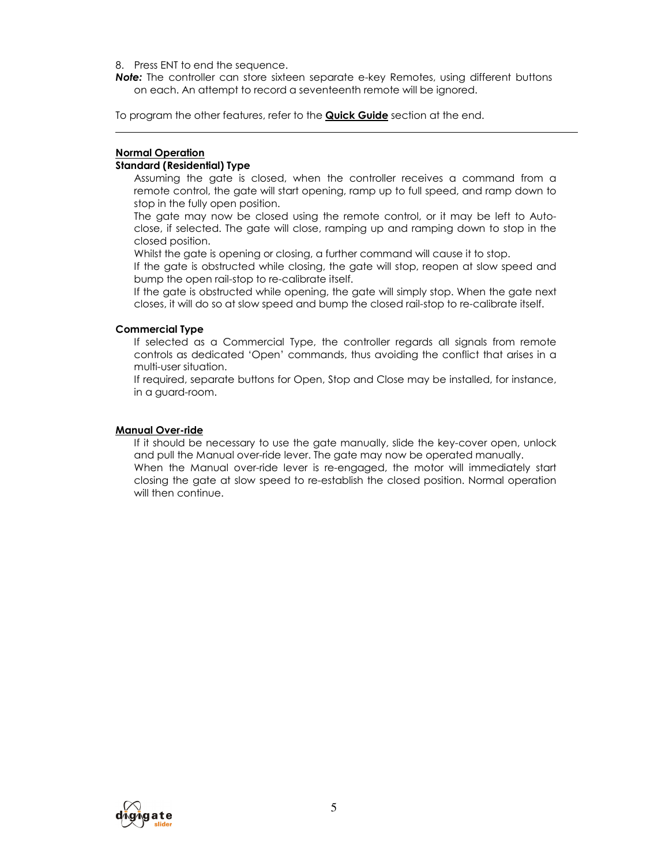### 8. Press ENT to end the sequence.

**Note:** The controller can store sixteen separate e-key Remotes, using different buttons on each. An attempt to record a seventeenth remote will be ignored.

To program the other features, refer to the **Quick Guide** section at the end.

# Normal Operation

# Standard (Residential) Type

Assuming the gate is closed, when the controller receives a command from a remote control, the gate will start opening, ramp up to full speed, and ramp down to stop in the fully open position.

The gate may now be closed using the remote control, or it may be left to Autoclose, if selected. The gate will close, ramping up and ramping down to stop in the closed position.

Whilst the gate is opening or closing, a further command will cause it to stop.

If the gate is obstructed while closing, the gate will stop, reopen at slow speed and bump the open rail-stop to re-calibrate itself.

If the gate is obstructed while opening, the gate will simply stop. When the gate next closes, it will do so at slow speed and bump the closed rail-stop to re-calibrate itself.

# Commercial Type

If selected as a Commercial Type, the controller regards all signals from remote controls as dedicated 'Open' commands, thus avoiding the conflict that arises in a multi-user situation.

If required, separate buttons for Open, Stop and Close may be installed, for instance, in a guard-room.

# Manual Over-ride

If it should be necessary to use the gate manually, slide the key-cover open, unlock and pull the Manual over-ride lever. The gate may now be operated manually. When the Manual over-ride lever is re-engaged, the motor will immediately start closing the gate at slow speed to re-establish the closed position. Normal operation will then continue.

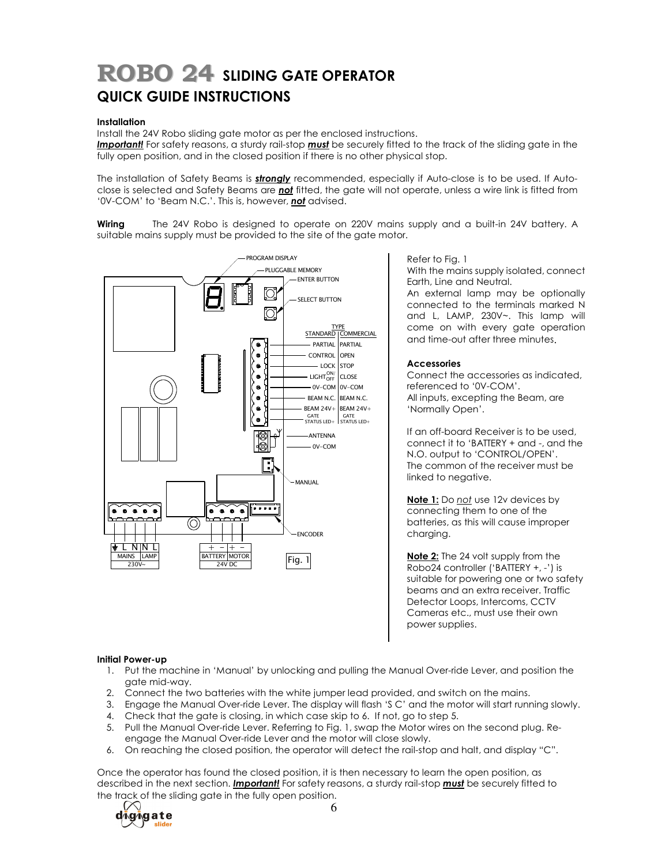# ROBO 24 SLIDING GATE OPERATOR QUICK GUIDE INSTRUCTIONS

### **Installation**

Install the 24V Robo sliding gate motor as per the enclosed instructions.

Important! For safety reasons, a sturdy rail-stop must be securely fitted to the track of the sliding gate in the fully open position, and in the closed position if there is no other physical stop.

The installation of Safety Beams is **strongly** recommended, especially if Auto-close is to be used. If Autoclose is selected and Safety Beams are not fitted, the gate will not operate, unless a wire link is fitted from '0V-COM' to 'Beam N.C.'. This is, however, not advised.

Wiring The 24V Robo is designed to operate on 220V mains supply and a built-in 24V battery. A suitable mains supply must be provided to the site of the gate motor.



#### Refer to Fig. 1

With the mains supply isolated, connect Earth, Line and Neutral.

An external lamp may be optionally connected to the terminals marked N and L, LAMP, 230V~. This lamp will come on with every gate operation and time-out after three minutes.

#### **Accessories**

Connect the accessories as indicated, referenced to '0V-COM'. All inputs, excepting the Beam, are 'Normally Open'.

If an off-board Receiver is to be used, connect it to 'BATTERY + and -, and the N.O. output to 'CONTROL/OPEN'. The common of the receiver must be linked to negative.

Note 1: Do not use 12v devices by connecting them to one of the batteries, as this will cause improper charging.

Note 2: The 24 volt supply from the Robo24 controller ('BATTERY +, -') is suitable for powering one or two safety beams and an extra receiver. Traffic Detector Loops, Intercoms, CCTV Cameras etc., must use their own power supplies.

#### Initial Power-up

- 1. Put the machine in 'Manual' by unlocking and pulling the Manual Over-ride Lever, and position the gate mid-way.
- 2. Connect the two batteries with the white jumper lead provided, and switch on the mains.
- 3. Engage the Manual Over-ride Lever. The display will flash 'S C' and the motor will start running slowly.
- 4. Check that the gate is closing, in which case skip to 6. If not, go to step 5.
- 5. Pull the Manual Over-ride Lever. Referring to Fig. 1, swap the Motor wires on the second plug. Reengage the Manual Over-ride Lever and the motor will close slowly.
- 6. On reaching the closed position, the operator will detect the rail-stop and halt, and display "C".

Once the operator has found the closed position, it is then necessary to learn the open position, as described in the next section. **Important!** For safety reasons, a sturdy rail-stop **must** be securely fitted to the track of the sliding gate in the fully open position.